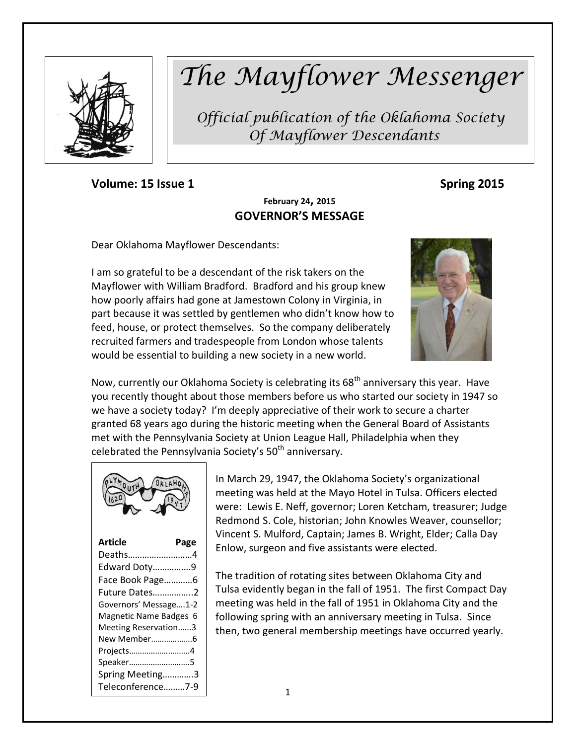

# *The Mayflower Messenger*

*Official publication of the Oklahoma Society Of Mayflower Descendants*

**Volume: 15 Issue 1 Spring 2015** 

# **February 24, 2015 GOVERNOR'S MESSAGE**

Dear Oklahoma Mayflower Descendants:

I am so grateful to be a descendant of the risk takers on the Mayflower with William Bradford. Bradford and his group knew how poorly affairs had gone at Jamestown Colony in Virginia, in part because it was settled by gentlemen who didn't know how to feed, house, or protect themselves. So the company deliberately recruited farmers and tradespeople from London whose talents would be essential to building a new society in a new world.



Now, currently our Oklahoma Society is celebrating its 68<sup>th</sup> anniversary this year. Have you recently thought about those members before us who started our society in 1947 so we have a society today? I'm deeply appreciative of their work to secure a charter granted 68 years ago during the historic meeting when the General Board of Assistants met with the Pennsylvania Society at Union League Hall, Philadelphia when they celebrated the Pennsylvania Society's 50<sup>th</sup> anniversary.



| Article                | Page |
|------------------------|------|
| Deaths4                |      |
| Edward Doty9           |      |
| Face Book Page6        |      |
| Future Dates2          |      |
| Governors' Message1-2  |      |
| Magnetic Name Badges 6 |      |
| Meeting Reservation3   |      |
| New Member6            |      |
| Projects4              |      |
| Speaker5               |      |
| Spring Meeting3        |      |
| Teleconference7-9      |      |

In March 29, 1947, the Oklahoma Society's organizational meeting was held at the Mayo Hotel in Tulsa. Officers elected were: Lewis E. Neff, governor; Loren Ketcham, treasurer; Judge Redmond S. Cole, historian; John Knowles Weaver, counsellor; Vincent S. Mulford, Captain; James B. Wright, Elder; Calla Day Enlow, surgeon and five assistants were elected.

The tradition of rotating sites between Oklahoma City and Tulsa evidently began in the fall of 1951. The first Compact Day meeting was held in the fall of 1951 in Oklahoma City and the following spring with an anniversary meeting in Tulsa. Since then, two general membership meetings have occurred yearly.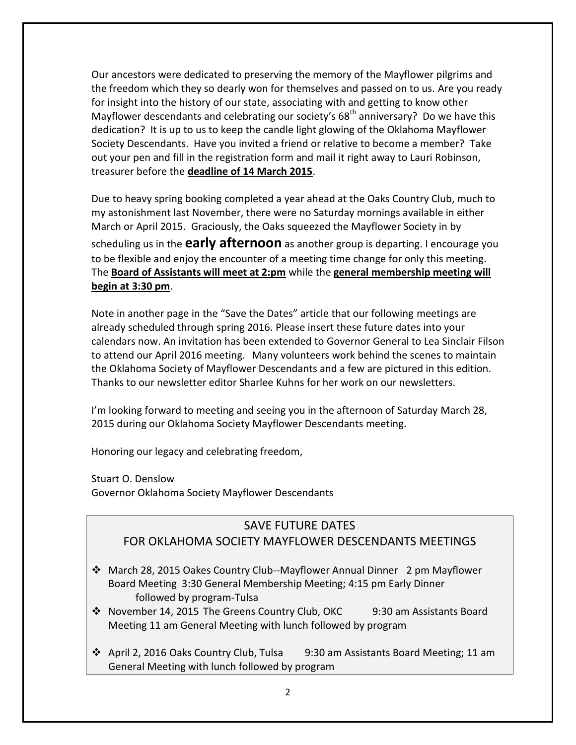Our ancestors were dedicated to preserving the memory of the Mayflower pilgrims and the freedom which they so dearly won for themselves and passed on to us. Are you ready for insight into the history of our state, associating with and getting to know other Mayflower descendants and celebrating our society's  $68<sup>th</sup>$  anniversary? Do we have this dedication? It is up to us to keep the candle light glowing of the Oklahoma Mayflower Society Descendants. Have you invited a friend or relative to become a member? Take out your pen and fill in the registration form and mail it right away to Lauri Robinson, treasurer before the **deadline of 14 March 2015**.

Due to heavy spring booking completed a year ahead at the Oaks Country Club, much to my astonishment last November, there were no Saturday mornings available in either March or April 2015. Graciously, the Oaks squeezed the Mayflower Society in by scheduling us in the **early afternoon** as another group is departing. I encourage you to be flexible and enjoy the encounter of a meeting time change for only this meeting. The **Board of Assistants will meet at 2:pm** while the **general membership meeting will begin at 3:30 pm**.

Note in another page in the "Save the Dates" article that our following meetings are already scheduled through spring 2016. Please insert these future dates into your calendars now. An invitation has been extended to Governor General to Lea Sinclair Filson to attend our April 2016 meeting. Many volunteers work behind the scenes to maintain the Oklahoma Society of Mayflower Descendants and a few are pictured in this edition. Thanks to our newsletter editor Sharlee Kuhns for her work on our newsletters.

I'm looking forward to meeting and seeing you in the afternoon of Saturday March 28, 2015 during our Oklahoma Society Mayflower Descendants meeting.

Honoring our legacy and celebrating freedom,

Stuart O. Denslow

Governor Oklahoma Society Mayflower Descendants

# SAVE FUTURE DATES

#### FOR OKLAHOMA SOCIETY MAYFLOWER DESCENDANTS MEETINGS

- March 28, 2015 Oakes Country Club--Mayflower Annual Dinner 2 pm Mayflower Board Meeting 3:30 General Membership Meeting; 4:15 pm Early Dinner followed by program-Tulsa
- November 14, 2015 The Greens Country Club, OKC 9:30 am Assistants Board Meeting 11 am General Meeting with lunch followed by program
- April 2, 2016 Oaks Country Club, Tulsa 9:30 am Assistants Board Meeting; 11 am General Meeting with lunch followed by program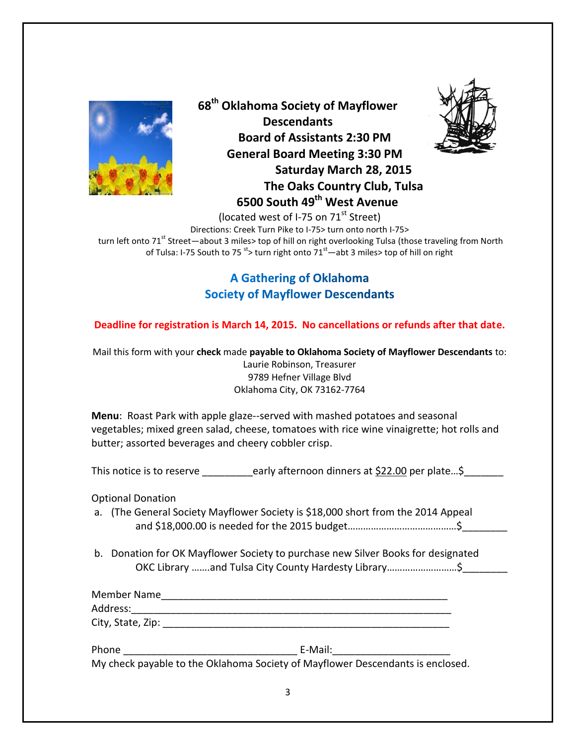

**68th Oklahoma Society of Mayflower Descendants Board of Assistants 2:30 PM General Board Meeting 3:30 PM Saturday March 28, 2015 The Oaks Country Club, Tulsa 6500 South 49th West Avenue**



(located west of I-75 on 71<sup>st</sup> Street)

Directions: Creek Turn Pike to I-75> turn onto north I-75> turn left onto 71<sup>st</sup> Street—about 3 miles> top of hill on right overlooking Tulsa (those traveling from North of Tulsa: I-75 South to 75  $s$  turn right onto 71 $s$ <sup>t</sup>—abt 3 miles> top of hill on right

# **A Gathering of Oklahoma Society of Mayflower Descendants**

**Deadline for registration is March 14, 2015. No cancellations or refunds after that date.**

Mail this form with your **check** made **payable to Oklahoma Society of Mayflower Descendants** to: Laurie Robinson, Treasurer 9789 Hefner Village Blvd Oklahoma City, OK 73162-7764

**Menu**: Roast Park with apple glaze--served with mashed potatoes and seasonal vegetables; mixed green salad, cheese, tomatoes with rice wine vinaigrette; hot rolls and butter; assorted beverages and cheery cobbler crisp.

This notice is to reserve \_\_\_\_\_\_\_\_early afternoon dinners at \$22.00 per plate...\$

Optional Donation

- a. (The General Society Mayflower Society is \$18,000 short from the 2014 Appeal and \$18,000.00 is needed for the 2015 budget……………………………………\$\_\_\_\_\_\_\_\_
- b. Donation for OK Mayflower Society to purchase new Silver Books for designated OKC Library …….and Tulsa City County Hardesty Library………………………\$\_\_\_\_\_\_\_\_

| Member Name       |  |
|-------------------|--|
| Address:          |  |
| City, State, Zip: |  |

Phone **E-Mail:** 

My check payable to the Oklahoma Society of Mayflower Descendants is enclosed.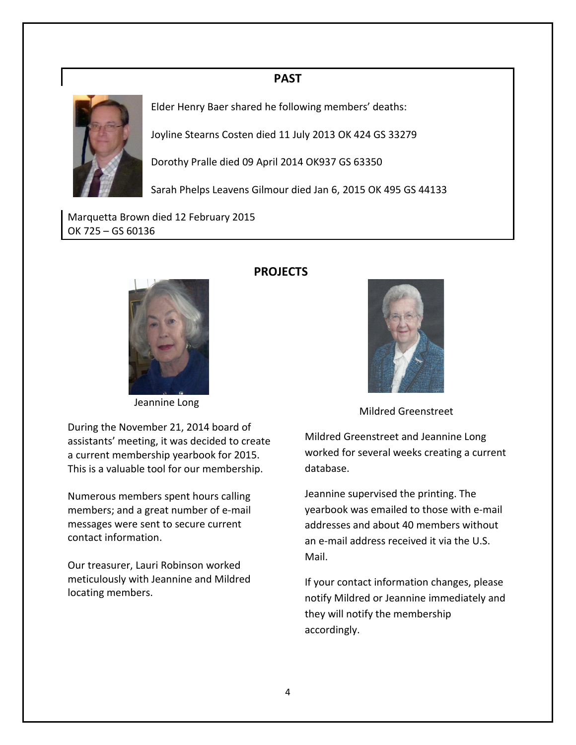### **PAST**



Elder Henry Baer shared he following members' deaths:

Joyline Stearns Costen died 11 July 2013 OK 424 GS 33279

Dorothy Pralle died 09 April 2014 OK937 GS 63350

Sarah Phelps Leavens Gilmour died Jan 6, 2015 OK 495 GS 44133

Marquetta Brown died 12 February 2015 OK 725 – GS 60136



Jeannine Long

During the November 21, 2014 board of assistants' meeting, it was decided to create a current membership yearbook for 2015. This is a valuable tool for our membership.

Numerous members spent hours calling members; and a great number of e-mail messages were sent to secure current contact information.

Our treasurer, Lauri Robinson worked meticulously with Jeannine and Mildred locating members.

### **PROJECTS**



Mildred Greenstreet

Mildred Greenstreet and Jeannine Long worked for several weeks creating a current database.

Jeannine supervised the printing. The yearbook was emailed to those with e-mail addresses and about 40 members without an e-mail address received it via the U.S. Mail.

If your contact information changes, please notify Mildred or Jeannine immediately and they will notify the membership accordingly.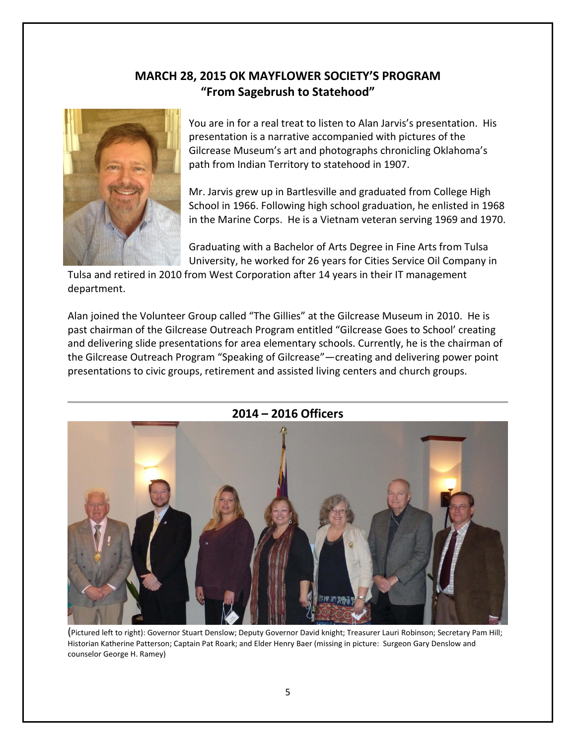# **MARCH 28, 2015 OK MAYFLOWER SOCIETY'S PROGRAM "From Sagebrush to Statehood"**



You are in for a real treat to listen to Alan Jarvis's presentation. His presentation is a narrative accompanied with pictures of the Gilcrease Museum's art and photographs chronicling Oklahoma's path from Indian Territory to statehood in 1907.

Mr. Jarvis grew up in Bartlesville and graduated from College High School in 1966. Following high school graduation, he enlisted in 1968 in the Marine Corps. He is a Vietnam veteran serving 1969 and 1970.

Graduating with a Bachelor of Arts Degree in Fine Arts from Tulsa University, he worked for 26 years for Cities Service Oil Company in

Tulsa and retired in 2010 from West Corporation after 14 years in their IT management department.

Alan joined the Volunteer Group called "The Gillies" at the Gilcrease Museum in 2010. He is past chairman of the Gilcrease Outreach Program entitled "Gilcrease Goes to School' creating and delivering slide presentations for area elementary schools. Currently, he is the chairman of the Gilcrease Outreach Program "Speaking of Gilcrease"—creating and delivering power point presentations to civic groups, retirement and assisted living centers and church groups.



**2014 – 2016 Officers**

(Pictured left to right): Governor Stuart Denslow; Deputy Governor David knight; Treasurer Lauri Robinson; Secretary Pam Hill; Historian Katherine Patterson; Captain Pat Roark; and Elder Henry Baer (missing in picture: Surgeon Gary Denslow and counselor George H. Ramey)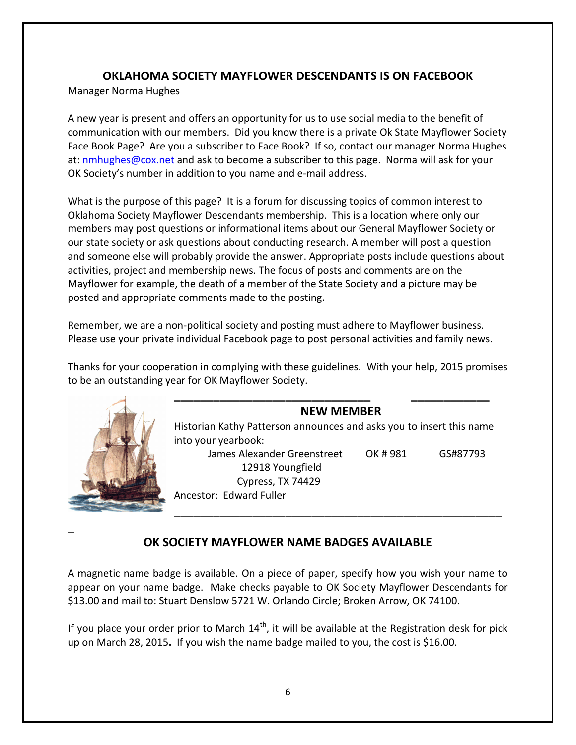### **OKLAHOMA SOCIETY MAYFLOWER DESCENDANTS IS ON FACEBOOK**

Manager Norma Hughes

A new year is present and offers an opportunity for us to use social media to the benefit of communication with our members. Did you know there is a private Ok State Mayflower Society Face Book Page? Are you a subscriber to Face Book? If so, contact our manager Norma Hughes at[: nmhughes@cox.net](mailto:nmhughes@cox.net) and ask to become a subscriber to this page. Norma will ask for your OK Society's number in addition to you name and e-mail address.

What is the purpose of this page? It is a forum for discussing topics of common interest to Oklahoma Society Mayflower Descendants membership. This is a location where only our members may post questions or informational items about our General Mayflower Society or our state society or ask questions about conducting research. A member will post a question and someone else will probably provide the answer. Appropriate posts include questions about activities, project and membership news. The focus of posts and comments are on the Mayflower for example, the death of a member of the State Society and a picture may be posted and appropriate comments made to the posting.

Remember, we are a non-political society and posting must adhere to Mayflower business. Please use your private individual Facebook page to post personal activities and family news.

Thanks for your cooperation in complying with these guidelines. With your help, 2015 promises to be an outstanding year for OK Mayflower Society.



 $\overline{a}$ 

#### **NEW MEMBER**

Historian Kathy Patterson announces and asks you to insert this name into your yearbook: James Alexander Greenstreet OK # 981 GS#87793

**\_\_\_\_\_\_\_\_\_\_\_\_\_\_\_\_\_\_\_\_\_\_\_\_\_\_\_\_\_\_ \_\_\_\_\_\_\_\_\_\_\_\_**

12918 Youngfield Cypress, TX 74429

Ancestor: Edward Fuller

\_\_\_\_\_\_\_\_\_\_\_\_\_\_\_\_\_\_\_\_\_\_\_\_\_\_\_\_\_\_\_\_\_\_\_\_\_\_\_\_\_\_\_\_\_\_\_\_\_\_

# **OK SOCIETY MAYFLOWER NAME BADGES AVAILABLE**

A magnetic name badge is available. On a piece of paper, specify how you wish your name to appear on your name badge. Make checks payable to OK Society Mayflower Descendants for \$13.00 and mail to: Stuart Denslow 5721 W. Orlando Circle; Broken Arrow, OK 74100.

If you place your order prior to March  $14<sup>th</sup>$ , it will be available at the Registration desk for pick up on March 28, 2015**.** If you wish the name badge mailed to you, the cost is \$16.00.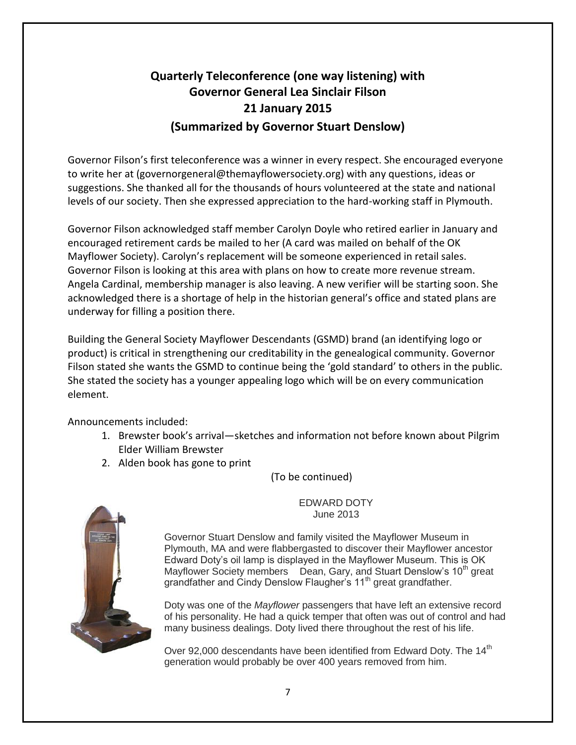# **Quarterly Teleconference (one way listening) with Governor General Lea Sinclair Filson 21 January 2015 (Summarized by Governor Stuart Denslow)**

Governor Filson's first teleconference was a winner in every respect. She encouraged everyone to write her at (governorgeneral@themayflowersociety.org) with any questions, ideas or suggestions. She thanked all for the thousands of hours volunteered at the state and national levels of our society. Then she expressed appreciation to the hard-working staff in Plymouth.

Governor Filson acknowledged staff member Carolyn Doyle who retired earlier in January and encouraged retirement cards be mailed to her (A card was mailed on behalf of the OK Mayflower Society). Carolyn's replacement will be someone experienced in retail sales. Governor Filson is looking at this area with plans on how to create more revenue stream. Angela Cardinal, membership manager is also leaving. A new verifier will be starting soon. She acknowledged there is a shortage of help in the historian general's office and stated plans are underway for filling a position there.

Building the General Society Mayflower Descendants (GSMD) brand (an identifying logo or product) is critical in strengthening our creditability in the genealogical community. Governor Filson stated she wants the GSMD to continue being the 'gold standard' to others in the public. She stated the society has a younger appealing logo which will be on every communication element.

Announcements included:

- 1. Brewster book's arrival—sketches and information not before known about Pilgrim Elder William Brewster
- 2. Alden book has gone to print

(To be continued)



EDWARD DOTY June 2013

Governor Stuart Denslow and family visited the Mayflower Museum in Plymouth, MA and were flabbergasted to discover their Mayflower ancestor Edward Doty's oil lamp is displayed in the Mayflower Museum. This is OK Mayflower Society members Dean, Gary, and Stuart Denslow's 10<sup>th</sup> great grandfather and Cindy Denslow Flaugher's 11<sup>th</sup> great grandfather.

Doty was one of the *Mayflower* passengers that have left an extensive record of his personality. He had a quick temper that often was out of control and had many business dealings. Doty lived there throughout the rest of his life.

Over 92,000 descendants have been identified from Edward Doty. The 14<sup>th</sup> generation would probably be over 400 years removed from him.